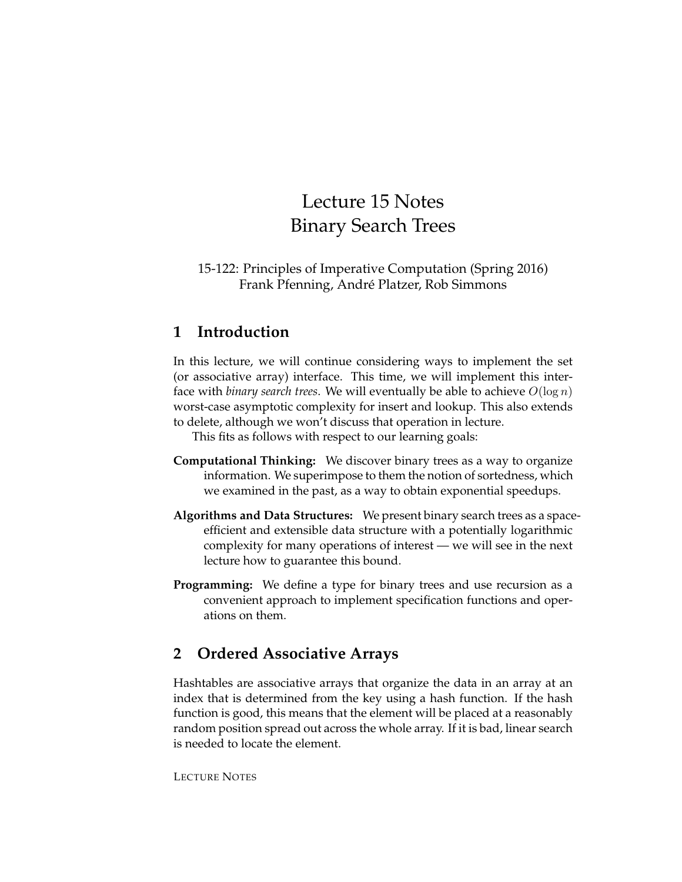# Lecture 15 Notes Binary Search Trees

15-122: Principles of Imperative Computation (Spring 2016) Frank Pfenning, André Platzer, Rob Simmons

### **1 Introduction**

In this lecture, we will continue considering ways to implement the set (or associative array) interface. This time, we will implement this interface with *binary search trees*. We will eventually be able to achieve  $O(\log n)$ worst-case asymptotic complexity for insert and lookup. This also extends to delete, although we won't discuss that operation in lecture.

This fits as follows with respect to our learning goals:

- **Computational Thinking:** We discover binary trees as a way to organize information. We superimpose to them the notion of sortedness, which we examined in the past, as a way to obtain exponential speedups.
- **Algorithms and Data Structures:** We present binary search trees as a spaceefficient and extensible data structure with a potentially logarithmic complexity for many operations of interest — we will see in the next lecture how to guarantee this bound.
- **Programming:** We define a type for binary trees and use recursion as a convenient approach to implement specification functions and operations on them.

# **2 Ordered Associative Arrays**

Hashtables are associative arrays that organize the data in an array at an index that is determined from the key using a hash function. If the hash function is good, this means that the element will be placed at a reasonably random position spread out across the whole array. If it is bad, linear search is needed to locate the element.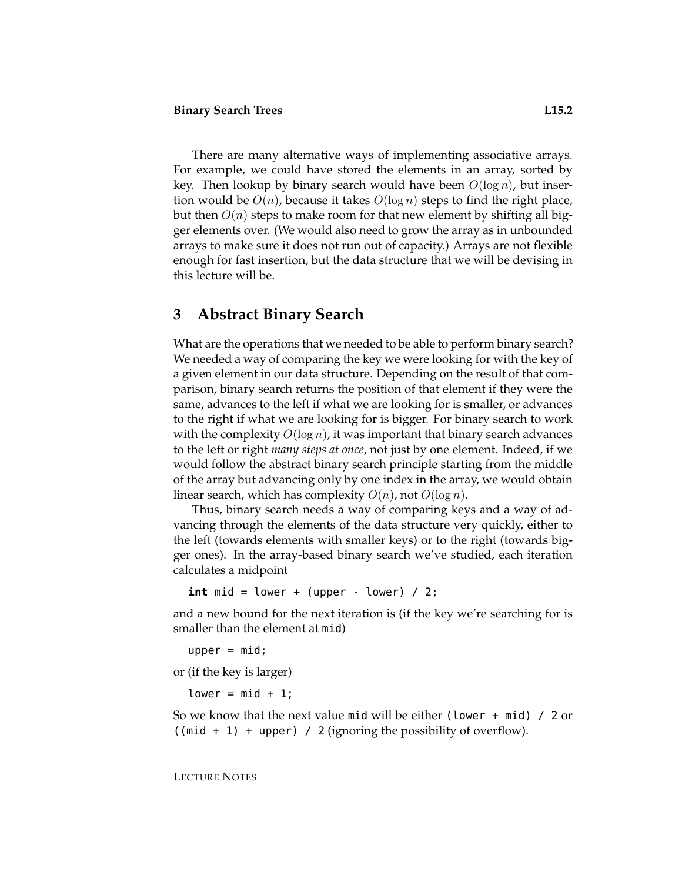There are many alternative ways of implementing associative arrays. For example, we could have stored the elements in an array, sorted by key. Then lookup by binary search would have been  $O(\log n)$ , but insertion would be  $O(n)$ , because it takes  $O(\log n)$  steps to find the right place, but then  $O(n)$  steps to make room for that new element by shifting all bigger elements over. (We would also need to grow the array as in unbounded arrays to make sure it does not run out of capacity.) Arrays are not flexible enough for fast insertion, but the data structure that we will be devising in this lecture will be.

### **3 Abstract Binary Search**

What are the operations that we needed to be able to perform binary search? We needed a way of comparing the key we were looking for with the key of a given element in our data structure. Depending on the result of that comparison, binary search returns the position of that element if they were the same, advances to the left if what we are looking for is smaller, or advances to the right if what we are looking for is bigger. For binary search to work with the complexity  $O(\log n)$ , it was important that binary search advances to the left or right *many steps at once*, not just by one element. Indeed, if we would follow the abstract binary search principle starting from the middle of the array but advancing only by one index in the array, we would obtain linear search, which has complexity  $O(n)$ , not  $O(\log n)$ .

Thus, binary search needs a way of comparing keys and a way of advancing through the elements of the data structure very quickly, either to the left (towards elements with smaller keys) or to the right (towards bigger ones). In the array-based binary search we've studied, each iteration calculates a midpoint

 $int$  mid = lower + (upper - lower) / 2;

and a new bound for the next iteration is (if the key we're searching for is smaller than the element at mid)

```
upper = mid;
```
or (if the key is larger)

 $lower = mid + 1;$ 

So we know that the next value mid will be either (lower + mid) / 2 or  $((mid + 1) + upper)$  / 2 (ignoring the possibility of overflow).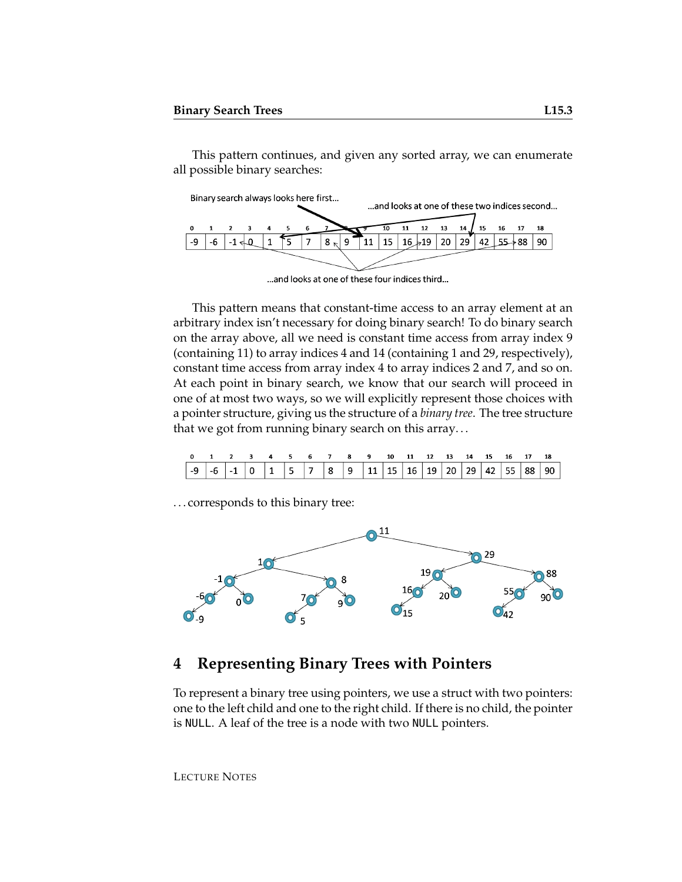This pattern continues, and given any sorted array, we can enumerate all possible binary searches:

Binary search always looks here first... ...and looks at one of these two indices second... 10  ${\bf 11}$ 12 13 15 16 17 18 q -9  $-6$  $-1$   $+0$  $\mathbf{1}$  $\overline{7}$  $8<sub>n</sub>$  $\mathbf{9}$ ้11 15  $16 \times 19$ 20  $29$ 42  $55 + 88$ 90 ΄5

... and looks at one of these four indices third...

This pattern means that constant-time access to an array element at an arbitrary index isn't necessary for doing binary search! To do binary search on the array above, all we need is constant time access from array index 9 (containing 11) to array indices 4 and 14 (containing 1 and 29, respectively), constant time access from array index 4 to array indices 2 and 7, and so on. At each point in binary search, we know that our search will proceed in one of at most two ways, so we will explicitly represent those choices with a pointer structure, giving us the structure of a *binary tree*. The tree structure that we got from running binary search on this array. . .

| 0 1 2 3 4 5 6 7 8 9 10 11 12 13 14 15 16 17 18 |  |  |  |  |  |  |  |  |  |
|------------------------------------------------|--|--|--|--|--|--|--|--|--|
|                                                |  |  |  |  |  |  |  |  |  |

. . . corresponds to this binary tree:



# **4 Representing Binary Trees with Pointers**

To represent a binary tree using pointers, we use a struct with two pointers: one to the left child and one to the right child. If there is no child, the pointer is NULL. A leaf of the tree is a node with two NULL pointers.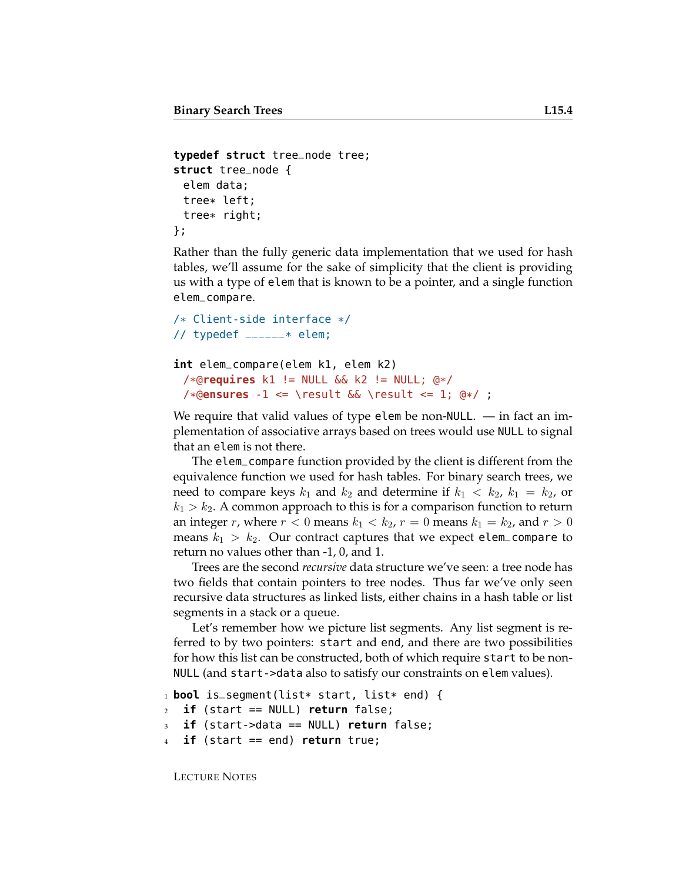```
typedef struct tree_node tree;
struct tree_node {
 elem data;
 tree* left;
 tree* right;
};
```
Rather than the fully generic data implementation that we used for hash tables, we'll assume for the sake of simplicity that the client is providing us with a type of elem that is known to be a pointer, and a single function elem\_compare.

```
/* Client-side interface */
// typedef \text{---} * elem;
```

```
int elem_compare(elem k1, elem k2)
 /*@requires k1 != NULL && k2 != NULL; @*/
```

```
/*@ensures -1 <= \result && \result <= 1; @*/ ;
```
We require that valid values of type elem be non-NULL.  $-$  in fact an implementation of associative arrays based on trees would use NULL to signal that an elem is not there.

The elem\_compare function provided by the client is different from the equivalence function we used for hash tables. For binary search trees, we need to compare keys  $k_1$  and  $k_2$  and determine if  $k_1 < k_2$ ,  $k_1 = k_2$ , or  $k_1 > k_2$ . A common approach to this is for a comparison function to return an integer r, where  $r < 0$  means  $k_1 < k_2$ ,  $r = 0$  means  $k_1 = k_2$ , and  $r > 0$ means  $k_1 > k_2$ . Our contract captures that we expect elem\_compare to return no values other than -1, 0, and 1.

Trees are the second *recursive* data structure we've seen: a tree node has two fields that contain pointers to tree nodes. Thus far we've only seen recursive data structures as linked lists, either chains in a hash table or list segments in a stack or a queue.

Let's remember how we picture list segments. Any list segment is referred to by two pointers: start and end, and there are two possibilities for how this list can be constructed, both of which require start to be non-NULL (and start->data also to satisfy our constraints on elem values).

```
1 bool is_segment(list* start, list* end) {
2 if (start == NULL) return false;
3 if (start->data == NULL) return false;
   4 if (start == end) return true;
```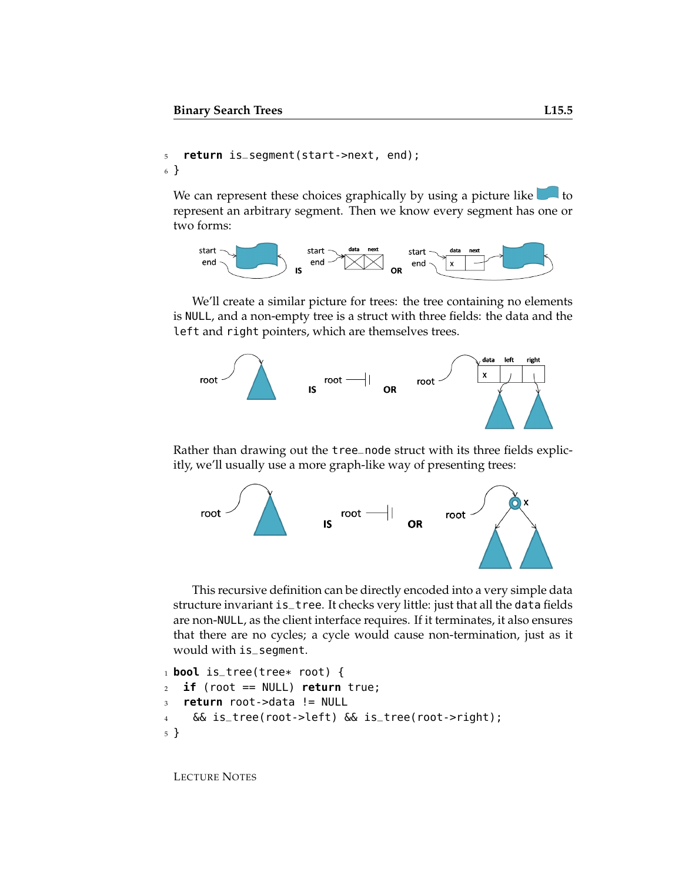```
5 return is_segment(start->next, end);
6 }
```
We can represent these choices graphically by using a picture like  $\Box$  to represent an arbitrary segment. Then we know every segment has one or two forms:



We'll create a similar picture for trees: the tree containing no elements is NULL, and a non-empty tree is a struct with three fields: the data and the left and right pointers, which are themselves trees.



Rather than drawing out the tree\_node struct with its three fields explicitly, we'll usually use a more graph-like way of presenting trees:



This recursive definition can be directly encoded into a very simple data structure invariant is\_tree. It checks very little: just that all the data fields are non-NULL, as the client interface requires. If it terminates, it also ensures that there are no cycles; a cycle would cause non-termination, just as it would with is\_segment.

```
1 bool is_tree(tree* root) {
2 if (root == NULL) return true;
3 return root->data != NULL
4 && is_tree(root->left) && is_tree(root->right);
5 }
```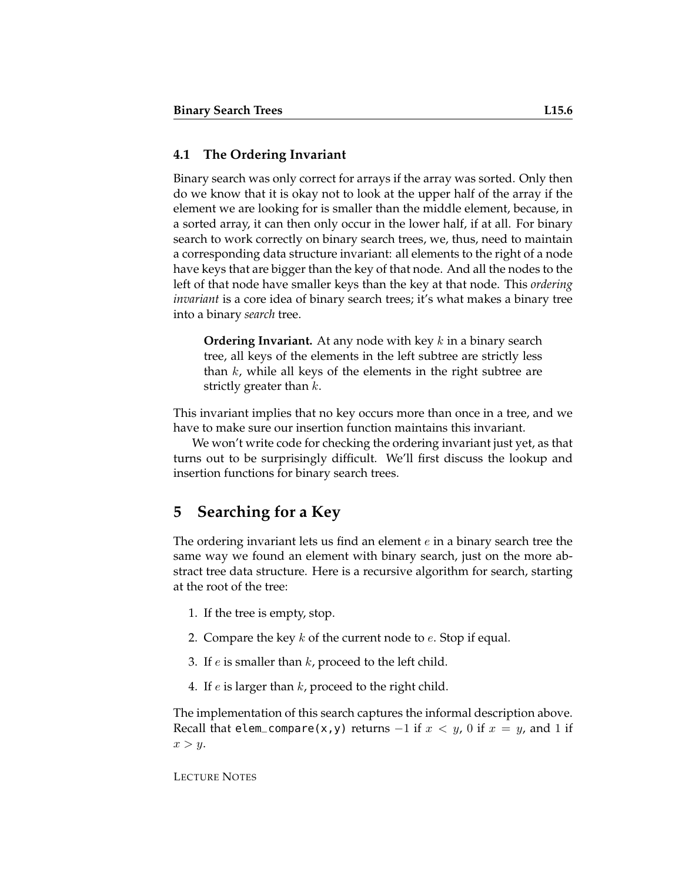#### **4.1 The Ordering Invariant**

Binary search was only correct for arrays if the array was sorted. Only then do we know that it is okay not to look at the upper half of the array if the element we are looking for is smaller than the middle element, because, in a sorted array, it can then only occur in the lower half, if at all. For binary search to work correctly on binary search trees, we, thus, need to maintain a corresponding data structure invariant: all elements to the right of a node have keys that are bigger than the key of that node. And all the nodes to the left of that node have smaller keys than the key at that node. This *ordering invariant* is a core idea of binary search trees; it's what makes a binary tree into a binary *search* tree.

**Ordering Invariant.** At any node with key k in a binary search tree, all keys of the elements in the left subtree are strictly less than  $k$ , while all keys of the elements in the right subtree are strictly greater than  $k$ .

This invariant implies that no key occurs more than once in a tree, and we have to make sure our insertion function maintains this invariant.

We won't write code for checking the ordering invariant just yet, as that turns out to be surprisingly difficult. We'll first discuss the lookup and insertion functions for binary search trees.

### **5 Searching for a Key**

The ordering invariant lets us find an element e in a binary search tree the same way we found an element with binary search, just on the more abstract tree data structure. Here is a recursive algorithm for search, starting at the root of the tree:

- 1. If the tree is empty, stop.
- 2. Compare the key  $k$  of the current node to  $e$ . Stop if equal.
- 3. If  $e$  is smaller than  $k$ , proceed to the left child.
- 4. If  $e$  is larger than  $k$ , proceed to the right child.

The implementation of this search captures the informal description above. Recall that elem\_compare(x,y) returns  $-1$  if  $x < y$ , 0 if  $x = y$ , and 1 if  $x > y$ .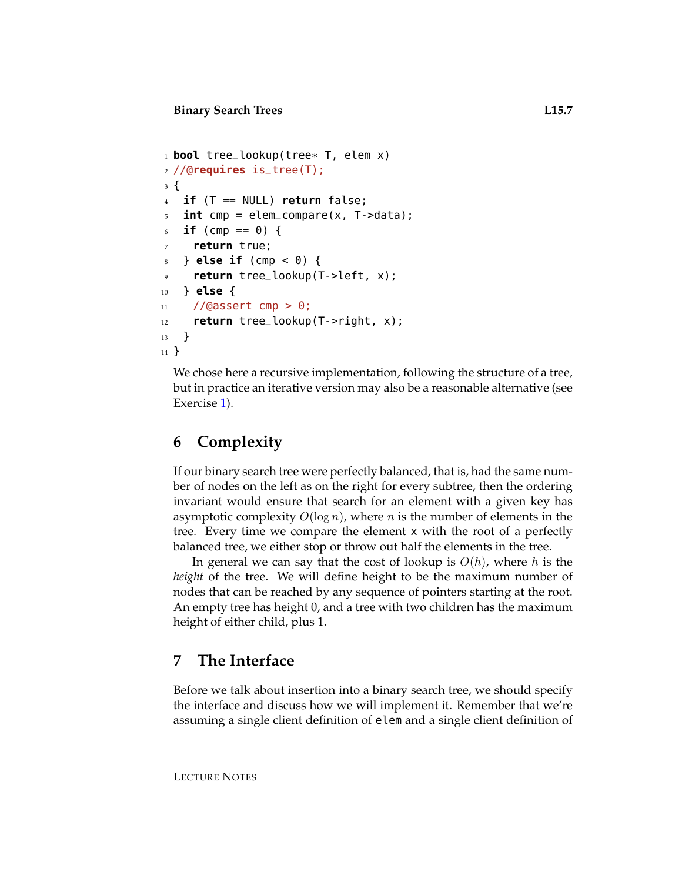```
1 bool tree_lookup(tree* T, elem x)
2 //@requires is_tree(T);
3 {
4 if (T == NULL) return false;
5 int cmp = elem_compare(x, T->data);
   if (cmp == 0) {
    return true;
8 } else if (cmp < 0) {
9 return tree_lookup(T->left, x);
10 } else {
11 //@assert cmp > 0;
12 return tree_lookup(T->right, x);
13 }
14 }
```
We chose here a recursive implementation, following the structure of a tree, but in practice an iterative version may also be a reasonable alternative (see Exercise [1\)](#page-14-0).

### **6 Complexity**

If our binary search tree were perfectly balanced, that is, had the same number of nodes on the left as on the right for every subtree, then the ordering invariant would ensure that search for an element with a given key has asymptotic complexity  $O(\log n)$ , where n is the number of elements in the tree. Every time we compare the element x with the root of a perfectly balanced tree, we either stop or throw out half the elements in the tree.

In general we can say that the cost of lookup is  $O(h)$ , where h is the *height* of the tree. We will define height to be the maximum number of nodes that can be reached by any sequence of pointers starting at the root. An empty tree has height 0, and a tree with two children has the maximum height of either child, plus 1.

### **7 The Interface**

Before we talk about insertion into a binary search tree, we should specify the interface and discuss how we will implement it. Remember that we're assuming a single client definition of elem and a single client definition of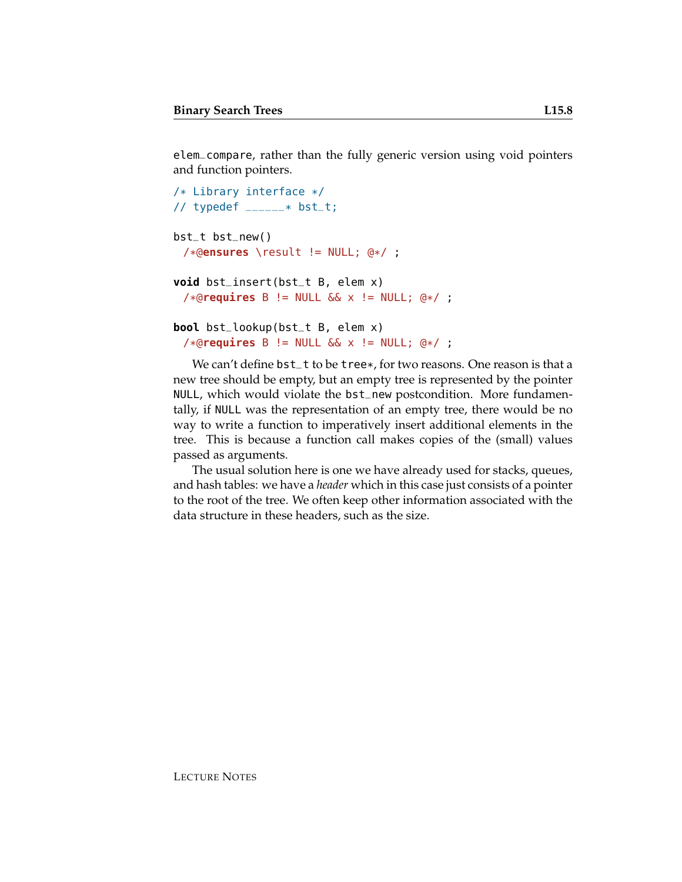elem\_compare, rather than the fully generic version using void pointers and function pointers.

```
/* Library interface */
// typedef ______* bst_t;
```

```
bst_t bst_new()
 /*@ensures \result != NULL; @*/ ;
```

```
void bst_insert(bst_t B, elem x)
 /*@requires B != NULL && x != NULL; @*/ ;
```

```
bool bst_lookup(bst_t B, elem x)
 /*@requires B != NULL && x != NULL; @*/ ;
```
We can't define  $bst_t$  to be tree\*, for two reasons. One reason is that a new tree should be empty, but an empty tree is represented by the pointer NULL, which would violate the bst\_new postcondition. More fundamentally, if NULL was the representation of an empty tree, there would be no way to write a function to imperatively insert additional elements in the tree. This is because a function call makes copies of the (small) values passed as arguments.

The usual solution here is one we have already used for stacks, queues, and hash tables: we have a *header* which in this case just consists of a pointer to the root of the tree. We often keep other information associated with the data structure in these headers, such as the size.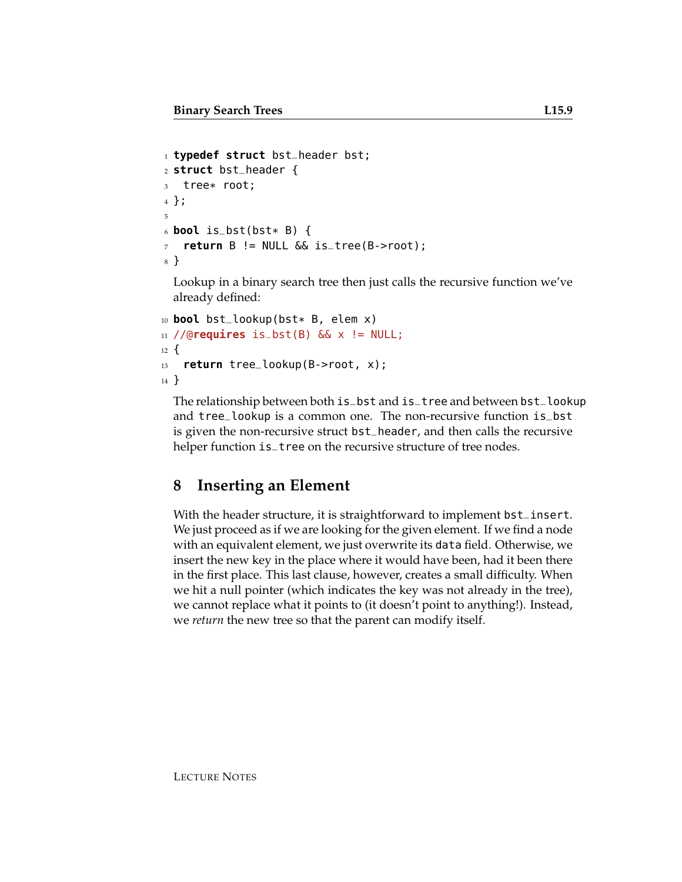```
1 typedef struct bst_header bst;
2 struct bst_header {
3 tree* root;
4 };
5
6 bool is_bst(bst* B) {
7 return B != NULL && is_tree(B->root);
8 }
```
Lookup in a binary search tree then just calls the recursive function we've already defined:

```
10 bool bst_lookup(bst* B, elem x)
11 //@requires is_bst(B) && x != NULL;
12 \frac{1}{2}13 return tree_lookup(B->root, x);
14 }
```
The relationship between both is\_bst and is\_tree and between bst\_lookup and tree\_lookup is a common one. The non-recursive function is\_bst is given the non-recursive struct bst\_header, and then calls the recursive helper function is\_tree on the recursive structure of tree nodes.

### **8 Inserting an Element**

With the header structure, it is straightforward to implement bst\_insert. We just proceed as if we are looking for the given element. If we find a node with an equivalent element, we just overwrite its data field. Otherwise, we insert the new key in the place where it would have been, had it been there in the first place. This last clause, however, creates a small difficulty. When we hit a null pointer (which indicates the key was not already in the tree), we cannot replace what it points to (it doesn't point to anything!). Instead, we *return* the new tree so that the parent can modify itself.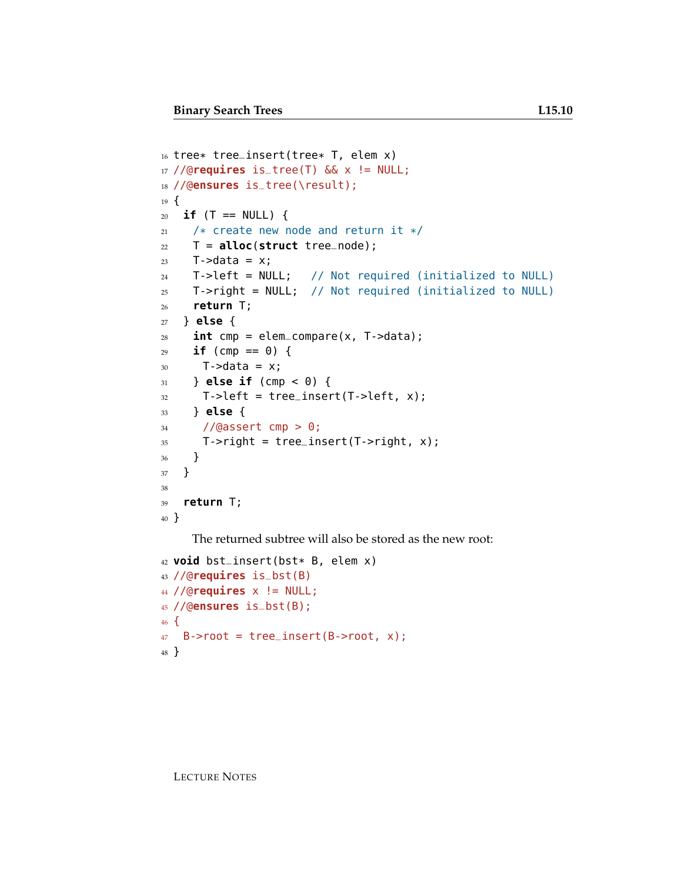```
16 tree* tree_insert(tree* T, elem x)
17 //@requires is_tree(T) && x != NULL;
18 //@ensures is_tree(\result);
19 \text{ }20 if (T == NULL) {
21 /* create new node and return it */
22 T = alloc(struct tree_node);
23 T->data = x;
24 T->left = NULL; // Not required (initialized to NULL)
25 T->right = NULL; // Not required (initialized to NULL)
26 return T;
27 } else {
28 int cmp = elem_compare(x, T->data);
29 if (cmp == \theta) {
30 T->data = x;
31 } else if (cmp < 0) {
32 T->left = tree_insert(T->left, x);
33 } else {
34 //@assert cmp > 0;
35 T->right = tree_insert(T->right, x);
36 }
37 }
38
39 return T;
40 }
```
The returned subtree will also be stored as the new root:

```
42 void bst_insert(bst* B, elem x)
43 //@requires is_bst(B)
44 //@requires x != NULL;
45 //@ensures is_bst(B);
46 \quad47 B->root = tree_insert(B->root, x);
48 }
```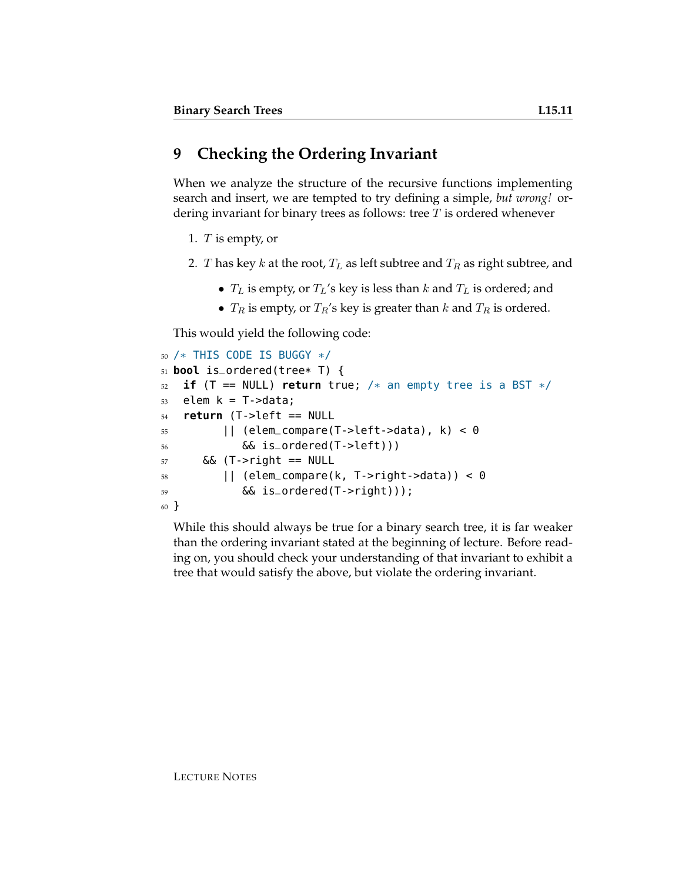When we analyze the structure of the recursive functions implementing search and insert, we are tempted to try defining a simple, *but wrong!* ordering invariant for binary trees as follows: tree  $T$  is ordered whenever

1. T is empty, or

- 2. T has key k at the root,  $T_L$  as left subtree and  $T_R$  as right subtree, and
	- $T_L$  is empty, or  $T_L$ 's key is less than  $k$  and  $T_L$  is ordered; and
	- $T_R$  is empty, or  $T_R$ 's key is greater than k and  $T_R$  is ordered.

This would yield the following code:

```
50 /* THIS CODE IS BUGGY */
51 bool is_ordered(tree* T) {
52 if (T == NULL) return true; /* an empty tree is a BST */
53 elem k = T->data;
54 return (T->left == NULL
55 || (elem_compare(T->left->data), k) < 0
56 && is_ordered(T->left)))
57 && (T->right == NULL
58 || (elem_compare(k, T->right->data)) < 0
59 && is_ordered(T->right)));
60 }
```
While this should always be true for a binary search tree, it is far weaker than the ordering invariant stated at the beginning of lecture. Before reading on, you should check your understanding of that invariant to exhibit a tree that would satisfy the above, but violate the ordering invariant.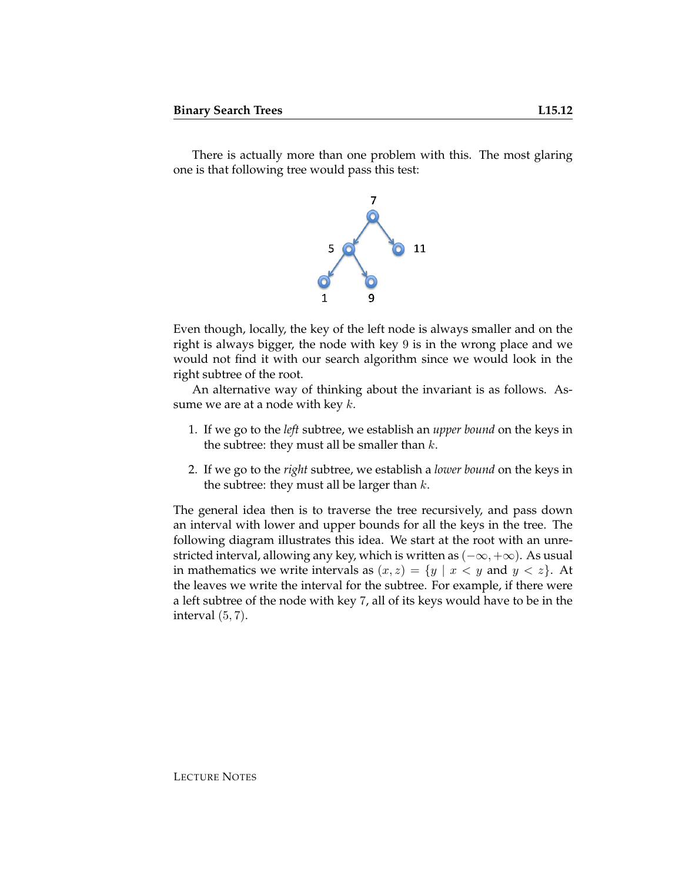There is actually more than one problem with this. The most glaring one is that following tree would pass this test:



Even though, locally, the key of the left node is always smaller and on the right is always bigger, the node with key 9 is in the wrong place and we would not find it with our search algorithm since we would look in the right subtree of the root.

An alternative way of thinking about the invariant is as follows. Assume we are at a node with key  $k$ .

- 1. If we go to the *left* subtree, we establish an *upper bound* on the keys in the subtree: they must all be smaller than  $k$ .
- 2. If we go to the *right* subtree, we establish a *lower bound* on the keys in the subtree: they must all be larger than  $k$ .

The general idea then is to traverse the tree recursively, and pass down an interval with lower and upper bounds for all the keys in the tree. The following diagram illustrates this idea. We start at the root with an unrestricted interval, allowing any key, which is written as  $(-\infty, +\infty)$ . As usual in mathematics we write intervals as  $(x, z) = \{y \mid x < y \text{ and } y < z\}.$  At the leaves we write the interval for the subtree. For example, if there were a left subtree of the node with key 7, all of its keys would have to be in the interval  $(5, 7)$ .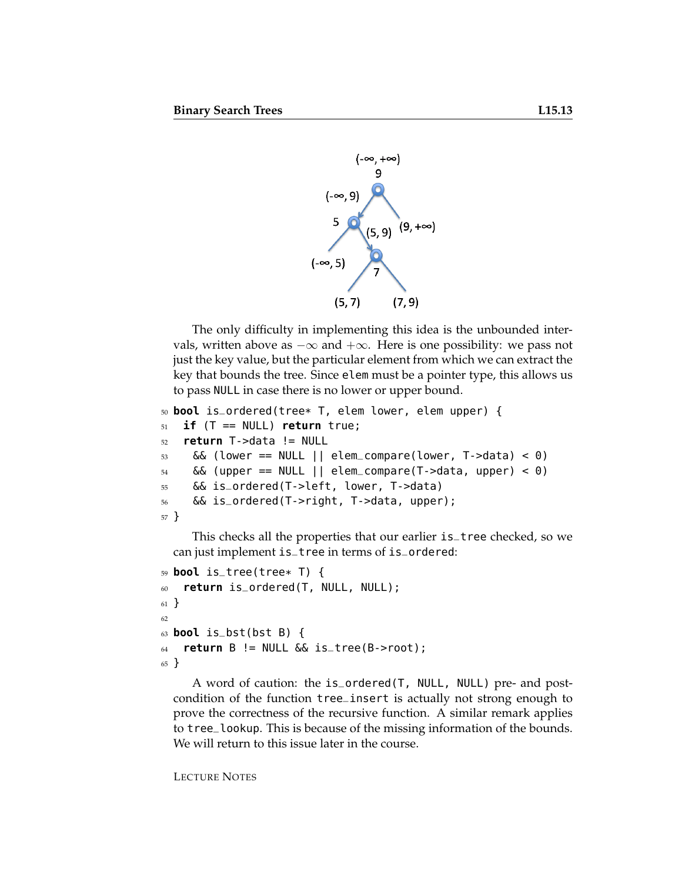

The only difficulty in implementing this idea is the unbounded intervals, written above as  $-\infty$  and  $+\infty$ . Here is one possibility: we pass not just the key value, but the particular element from which we can extract the key that bounds the tree. Since elem must be a pointer type, this allows us to pass NULL in case there is no lower or upper bound.

```
50 bool is_ordered(tree* T, elem lower, elem upper) {
51 if (T == NULL) return true;
52 return T->data != NULL
53 && (lower == NULL || elem_compare(lower, T->data) < 0)
54 && (upper == NULL || elem_compare(T->data, upper) < 0)
55 && is_ordered(T->left, lower, T->data)
56 && is_ordered(T->right, T->data, upper);
57 }
```
This checks all the properties that our earlier is\_tree checked, so we can just implement is\_tree in terms of is\_ordered:

```
59 bool is_tree(tree* T) {
60 return is_ordered(T, NULL, NULL);
61 }
62
63 bool is_bst(bst B) {
64 return B != NULL \&\& is_tree(B->root);
65 }
```
A word of caution: the is\_ordered(T, NULL, NULL) pre- and postcondition of the function tree\_insert is actually not strong enough to prove the correctness of the recursive function. A similar remark applies to tree\_lookup. This is because of the missing information of the bounds. We will return to this issue later in the course.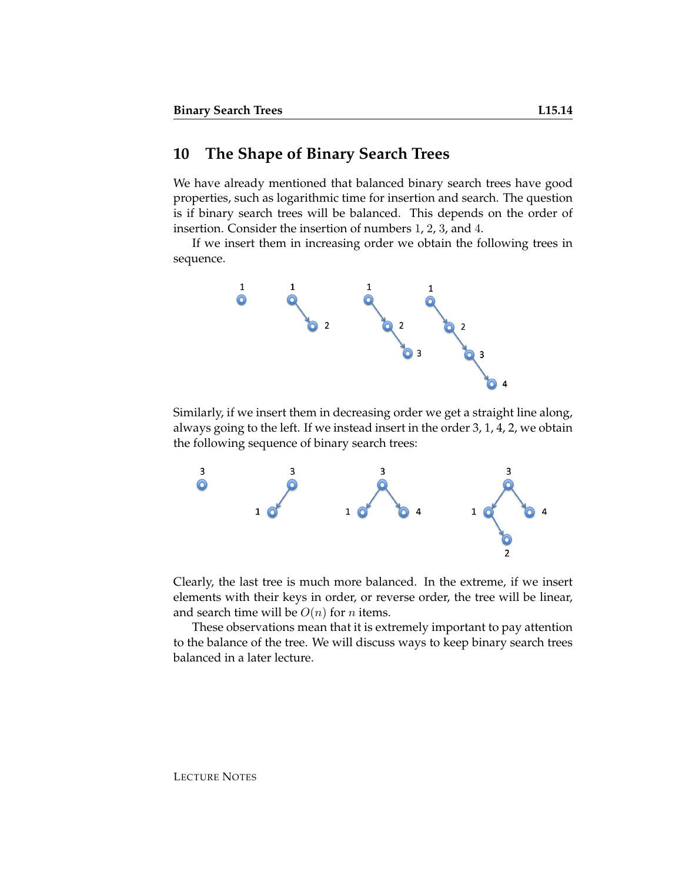### **10 The Shape of Binary Search Trees**

We have already mentioned that balanced binary search trees have good properties, such as logarithmic time for insertion and search. The question is if binary search trees will be balanced. This depends on the order of insertion. Consider the insertion of numbers 1, 2, 3, and 4.

If we insert them in increasing order we obtain the following trees in sequence.



Similarly, if we insert them in decreasing order we get a straight line along, always going to the left. If we instead insert in the order 3, 1, 4, 2, we obtain the following sequence of binary search trees:



Clearly, the last tree is much more balanced. In the extreme, if we insert elements with their keys in order, or reverse order, the tree will be linear, and search time will be  $O(n)$  for *n* items.

These observations mean that it is extremely important to pay attention to the balance of the tree. We will discuss ways to keep binary search trees balanced in a later lecture.